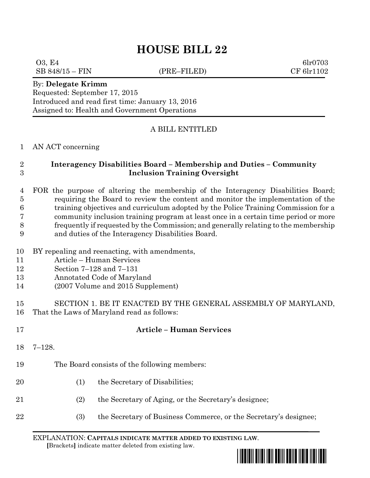## **HOUSE BILL 22**

 $03, E4$  6lr0703 SB 848/15 – FIN (PRE–FILED) CF 6lr1102 By: **Delegate Krimm** Requested: September 17, 2015 Introduced and read first time: January 13, 2016 Assigned to: Health and Government Operations A BILL ENTITLED AN ACT concerning **Interagency Disabilities Board – Membership and Duties – Community Inclusion Training Oversight** FOR the purpose of altering the membership of the Interagency Disabilities Board; requiring the Board to review the content and monitor the implementation of the training objectives and curriculum adopted by the Police Training Commission for a community inclusion training program at least once in a certain time period or more frequently if requested by the Commission; and generally relating to the membership and duties of the Interagency Disabilities Board. BY repealing and reenacting, with amendments, Article – Human Services Section 7–128 and 7–131 Annotated Code of Maryland (2007 Volume and 2015 Supplement) SECTION 1. BE IT ENACTED BY THE GENERAL ASSEMBLY OF MARYLAND, That the Laws of Maryland read as follows: **Article – Human Services** 7–128. The Board consists of the following members: 20 (1) the Secretary of Disabilities; (2) the Secretary of Aging, or the Secretary's designee; (3) the Secretary of Business Commerce, or the Secretary's designee;

EXPLANATION: **CAPITALS INDICATE MATTER ADDED TO EXISTING LAW**.  **[**Brackets**]** indicate matter deleted from existing law.

\*hb0022\*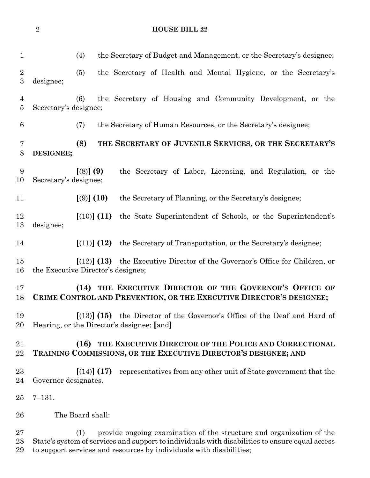|                                | $\sqrt{2}$            | <b>HOUSE BILL 22</b>                                                                                                                                                                                                                                 |
|--------------------------------|-----------------------|------------------------------------------------------------------------------------------------------------------------------------------------------------------------------------------------------------------------------------------------------|
| $\mathbf 1$                    |                       | (4)<br>the Secretary of Budget and Management, or the Secretary's designee;                                                                                                                                                                          |
| $\sqrt{2}$<br>$\boldsymbol{3}$ | designee;             | the Secretary of Health and Mental Hygiene, or the Secretary's<br>(5)                                                                                                                                                                                |
| $\overline{4}$<br>$\bf 5$      | Secretary's designee; | the Secretary of Housing and Community Development, or the<br>(6)                                                                                                                                                                                    |
| 6                              |                       | the Secretary of Human Resources, or the Secretary's designee;<br>(7)                                                                                                                                                                                |
| 7<br>8                         | DESIGNEE;             | (8)<br>THE SECRETARY OF JUVENILE SERVICES, OR THE SECRETARY'S                                                                                                                                                                                        |
| 9<br>10                        | Secretary's designee; | [(8)] (9)<br>the Secretary of Labor, Licensing, and Regulation, or the                                                                                                                                                                               |
| 11                             |                       | [ (9) ] (10)<br>the Secretary of Planning, or the Secretary's designee;                                                                                                                                                                              |
| 12<br>13                       | designee;             | [(10)] (11)<br>the State Superintendent of Schools, or the Superintendent's                                                                                                                                                                          |
| 14                             |                       | [(11)] (12)<br>the Secretary of Transportation, or the Secretary's designee;                                                                                                                                                                         |
| 15<br>16                       |                       | [(12)] (13)<br>the Executive Director of the Governor's Office for Children, or<br>the Executive Director's designee;                                                                                                                                |
| 17<br>18                       |                       | THE EXECUTIVE DIRECTOR OF THE GOVERNOR'S OFFICE OF<br>(14)<br>CRIME CONTROL AND PREVENTION, OR THE EXECUTIVE DIRECTOR'S DESIGNEE;                                                                                                                    |
| 19<br>20                       |                       | $\left[ (13) \right]$ (15) the Director of the Governor's Office of the Deaf and Hard of<br>Hearing, or the Director's designee; [and]                                                                                                               |
| 21<br>22                       |                       | THE EXECUTIVE DIRECTOR OF THE POLICE AND CORRECTIONAL<br>(16)<br>TRAINING COMMISSIONS, OR THE EXECUTIVE DIRECTOR'S DESIGNEE; AND                                                                                                                     |
| 23<br>24                       | Governor designates.  | [(14)] (17)<br>representatives from any other unit of State government that the                                                                                                                                                                      |
| 25                             | $7 - 131.$            |                                                                                                                                                                                                                                                      |
| 26                             |                       | The Board shall:                                                                                                                                                                                                                                     |
| 27<br>28<br>29                 |                       | provide ongoing examination of the structure and organization of the<br>(1)<br>State's system of services and support to individuals with disabilities to ensure equal access<br>to support services and resources by individuals with disabilities; |